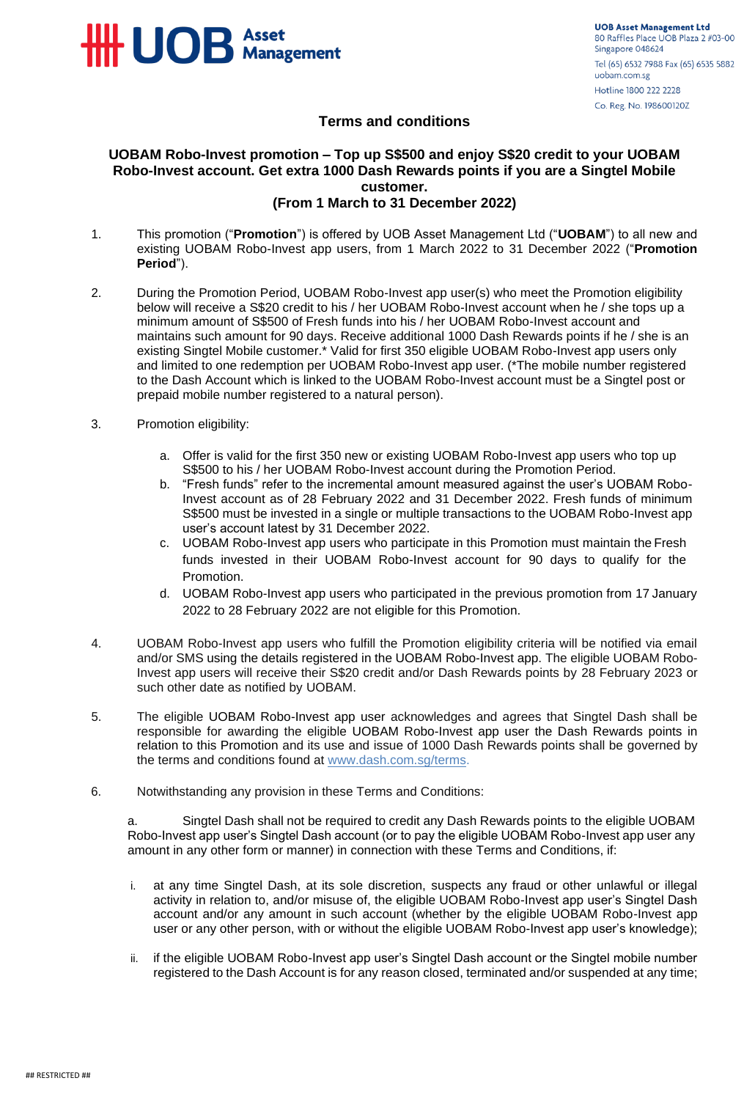

## **Terms and conditions**

## **UOBAM Robo-Invest promotion – Top up S\$500 and enjoy S\$20 credit to your UOBAM Robo-Invest account. Get extra 1000 Dash Rewards points if you are a Singtel Mobile customer. (From 1 March to 31 December 2022)**

- 1. This promotion ("**Promotion**") is offered by UOB Asset Management Ltd ("**UOBAM**") to all new and existing UOBAM Robo-Invest app users, from 1 March 2022 to 31 December 2022 ("**Promotion Period**").
- 2. During the Promotion Period, UOBAM Robo-Invest app user(s) who meet the Promotion eligibility below will receive a S\$20 credit to his / her UOBAM Robo-Invest account when he / she tops up a minimum amount of S\$500 of Fresh funds into his / her UOBAM Robo-Invest account and maintains such amount for 90 days. Receive additional 1000 Dash Rewards points if he / she is an existing Singtel Mobile customer.\* Valid for first 350 eligible UOBAM Robo-Invest app users only and limited to one redemption per UOBAM Robo-Invest app user. (\*The mobile number registered to the Dash Account which is linked to the UOBAM Robo-Invest account must be a Singtel post or prepaid mobile number registered to a natural person).
- 3. Promotion eligibility:
	- a. Offer is valid for the first 350 new or existing UOBAM Robo-Invest app users who top up S\$500 to his / her UOBAM Robo-Invest account during the Promotion Period.
	- b. "Fresh funds" refer to the incremental amount measured against the user's UOBAM Robo-Invest account as of 28 February 2022 and 31 December 2022. Fresh funds of minimum S\$500 must be invested in a single or multiple transactions to the UOBAM Robo-Invest app user's account latest by 31 December 2022.
	- c. UOBAM Robo-Invest app users who participate in this Promotion must maintain the Fresh funds invested in their UOBAM Robo-Invest account for 90 days to qualify for the **Promotion**
	- d. UOBAM Robo-Invest app users who participated in the previous promotion from 17 January 2022 to 28 February 2022 are not eligible for this Promotion.
- 4. UOBAM Robo-Invest app users who fulfill the Promotion eligibility criteria will be notified via email and/or SMS using the details registered in the UOBAM Robo-Invest app. The eligible UOBAM Robo-Invest app users will receive their S\$20 credit and/or Dash Rewards points by 28 February 2023 or such other date as notified by UOBAM.
- 5. The eligible UOBAM Robo-Invest app user acknowledges and agrees that Singtel Dash shall be responsible for awarding the eligible UOBAM Robo-Invest app user the Dash Rewards points in relation to this Promotion and its use and issue of 1000 Dash Rewards points shall be governed by the terms and conditions found at [www.dash.com.sg/terms.](http://www.dash.com.sg/terms)
- 6. Notwithstanding any provision in these Terms and Conditions:

a. Singtel Dash shall not be required to credit any Dash Rewards points to the eligible UOBAM Robo-Invest app user's Singtel Dash account (or to pay the eligible UOBAM Robo-Invest app user any amount in any other form or manner) in connection with these Terms and Conditions, if:

- i. at any time Singtel Dash, at its sole discretion, suspects any fraud or other unlawful or illegal activity in relation to, and/or misuse of, the eligible UOBAM Robo-Invest app user's Singtel Dash account and/or any amount in such account (whether by the eligible UOBAM Robo-Invest app user or any other person, with or without the eligible UOBAM Robo-Invest app user's knowledge);
- ii. if the eligible UOBAM Robo-Invest app user's Singtel Dash account or the Singtel mobile number registered to the Dash Account is for any reason closed, terminated and/or suspended at any time;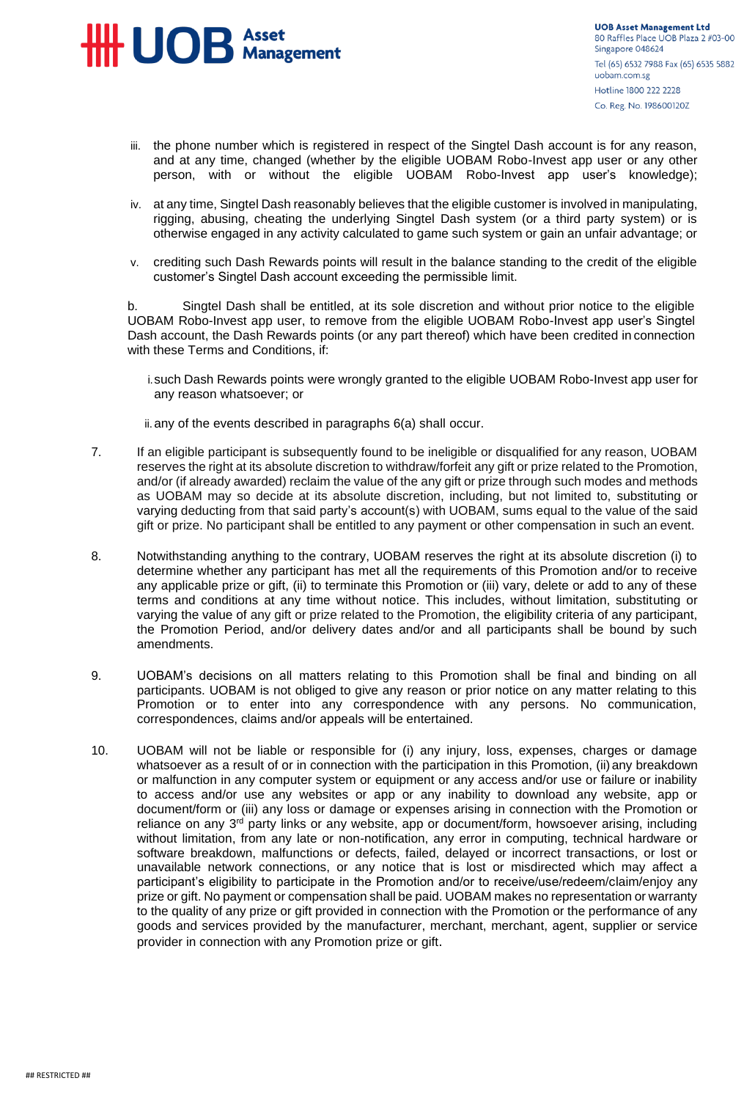

- iii. the phone number which is registered in respect of the Singtel Dash account is for any reason, and at any time, changed (whether by the eligible UOBAM Robo-Invest app user or any other person, with or without the eligible UOBAM Robo-Invest app user's knowledge);
- iv. at any time, Singtel Dash reasonably believes that the eligible customer is involved in manipulating, rigging, abusing, cheating the underlying Singtel Dash system (or a third party system) or is otherwise engaged in any activity calculated to game such system or gain an unfair advantage; or
- v. crediting such Dash Rewards points will result in the balance standing to the credit of the eligible customer's Singtel Dash account exceeding the permissible limit.

b. Singtel Dash shall be entitled, at its sole discretion and without prior notice to the eligible UOBAM Robo-Invest app user, to remove from the eligible UOBAM Robo-Invest app user's Singtel Dash account, the Dash Rewards points (or any part thereof) which have been credited in connection with these Terms and Conditions, if:

i.such Dash Rewards points were wrongly granted to the eligible UOBAM Robo-Invest app user for any reason whatsoever; or

ii.any of the events described in paragraphs 6(a) shall occur.

- 7. If an eligible participant is subsequently found to be ineligible or disqualified for any reason, UOBAM reserves the right at its absolute discretion to withdraw/forfeit any gift or prize related to the Promotion, and/or (if already awarded) reclaim the value of the any gift or prize through such modes and methods as UOBAM may so decide at its absolute discretion, including, but not limited to, substituting or varying deducting from that said party's account(s) with UOBAM, sums equal to the value of the said gift or prize. No participant shall be entitled to any payment or other compensation in such an event.
- 8. Notwithstanding anything to the contrary, UOBAM reserves the right at its absolute discretion (i) to determine whether any participant has met all the requirements of this Promotion and/or to receive any applicable prize or gift, (ii) to terminate this Promotion or (iii) vary, delete or add to any of these terms and conditions at any time without notice. This includes, without limitation, substituting or varying the value of any gift or prize related to the Promotion, the eligibility criteria of any participant, the Promotion Period, and/or delivery dates and/or and all participants shall be bound by such amendments.
- 9. UOBAM's decisions on all matters relating to this Promotion shall be final and binding on all participants. UOBAM is not obliged to give any reason or prior notice on any matter relating to this Promotion or to enter into any correspondence with any persons. No communication, correspondences, claims and/or appeals will be entertained.
- 10. UOBAM will not be liable or responsible for (i) any injury, loss, expenses, charges or damage whatsoever as a result of or in connection with the participation in this Promotion, (ii) any breakdown or malfunction in any computer system or equipment or any access and/or use or failure or inability to access and/or use any websites or app or any inability to download any website, app or document/form or (iii) any loss or damage or expenses arising in connection with the Promotion or reliance on any 3<sup>rd</sup> party links or any website, app or document/form, howsoever arising, including without limitation, from any late or non-notification, any error in computing, technical hardware or software breakdown, malfunctions or defects, failed, delayed or incorrect transactions, or lost or unavailable network connections, or any notice that is lost or misdirected which may affect a participant's eligibility to participate in the Promotion and/or to receive/use/redeem/claim/enjoy any prize or gift. No payment or compensation shall be paid. UOBAM makes no representation or warranty to the quality of any prize or gift provided in connection with the Promotion or the performance of any goods and services provided by the manufacturer, merchant, merchant, agent, supplier or service provider in connection with any Promotion prize or gift.